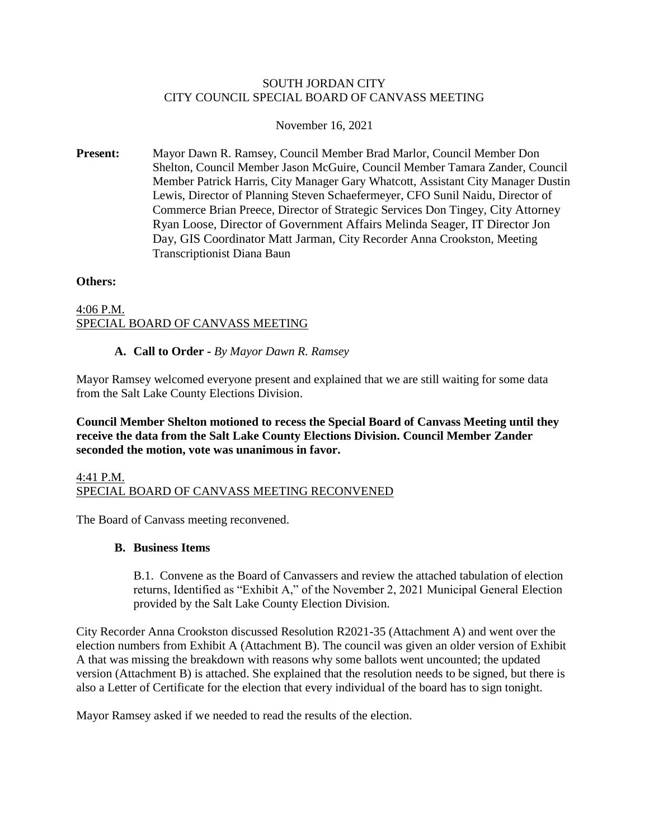## SOUTH JORDAN CITY CITY COUNCIL SPECIAL BOARD OF CANVASS MEETING

# November 16, 2021

**Present:** Mayor Dawn R. Ramsey, Council Member Brad Marlor, Council Member Don Shelton, Council Member Jason McGuire, Council Member Tamara Zander, Council Member Patrick Harris, City Manager Gary Whatcott, Assistant City Manager Dustin Lewis, Director of Planning Steven Schaefermeyer, CFO Sunil Naidu, Director of Commerce Brian Preece, Director of Strategic Services Don Tingey, City Attorney Ryan Loose, Director of Government Affairs Melinda Seager, IT Director Jon Day, GIS Coordinator Matt Jarman, City Recorder Anna Crookston, Meeting Transcriptionist Diana Baun

## **Others:**

# 4:06 P.M. SPECIAL BOARD OF CANVASS MEETING

## **A. Call to Order -** *By Mayor Dawn R. Ramsey*

Mayor Ramsey welcomed everyone present and explained that we are still waiting for some data from the Salt Lake County Elections Division.

**Council Member Shelton motioned to recess the Special Board of Canvass Meeting until they receive the data from the Salt Lake County Elections Division. Council Member Zander seconded the motion, vote was unanimous in favor.**

## 4:41 P.M. SPECIAL BOARD OF CANVASS MEETING RECONVENED

The Board of Canvass meeting reconvened.

# **B. Business Items**

B.1. Convene as the Board of Canvassers and review the attached tabulation of election returns, Identified as "Exhibit A," of the November 2, 2021 Municipal General Election provided by the Salt Lake County Election Division.

City Recorder Anna Crookston discussed Resolution R2021-35 (Attachment A) and went over the election numbers from Exhibit A (Attachment B). The council was given an older version of Exhibit A that was missing the breakdown with reasons why some ballots went uncounted; the updated version (Attachment B) is attached. She explained that the resolution needs to be signed, but there is also a Letter of Certificate for the election that every individual of the board has to sign tonight.

Mayor Ramsey asked if we needed to read the results of the election.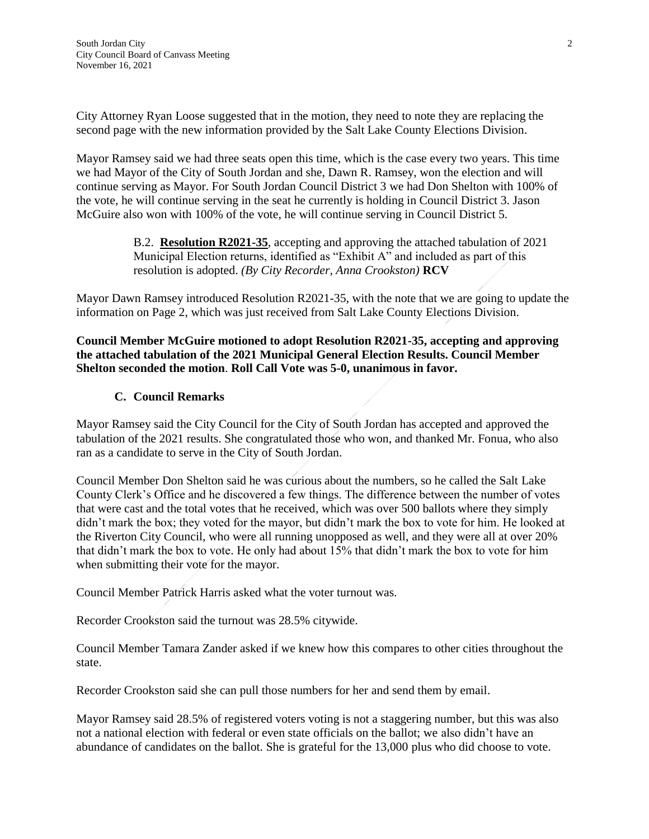City Attorney Ryan Loose suggested that in the motion, they need to note they are replacing the second page with the new information provided by the Salt Lake County Elections Division.

Mayor Ramsey said we had three seats open this time, which is the case every two years. This time we had Mayor of the City of South Jordan and she, Dawn R. Ramsey, won the election and will continue serving as Mayor. For South Jordan Council District 3 we had Don Shelton with 100% of the vote, he will continue serving in the seat he currently is holding in Council District 3. Jason McGuire also won with 100% of the vote, he will continue serving in Council District 5.

> B.2. **Resolution R2021-35**, accepting and approving the attached tabulation of 2021 Municipal Election returns, identified as "Exhibit A" and included as part of this resolution is adopted. *(By City Recorder, Anna Crookston)* **RCV**

Mayor Dawn Ramsey introduced Resolution R2021-35, with the note that we are going to update the information on Page 2, which was just received from Salt Lake County Elections Division.

**Council Member McGuire motioned to adopt Resolution R2021-35, accepting and approving the attached tabulation of the 2021 Municipal General Election Results. Council Member Shelton seconded the motion**. **Roll Call Vote was 5-0, unanimous in favor.**

# **C. Council Remarks**

Mayor Ramsey said the City Council for the City of South Jordan has accepted and approved the tabulation of the 2021 results. She congratulated those who won, and thanked Mr. Fonua, who also ran as a candidate to serve in the City of South Jordan.

Council Member Don Shelton said he was curious about the numbers, so he called the Salt Lake County Clerk's Office and he discovered a few things. The difference between the number of votes that were cast and the total votes that he received, which was over 500 ballots where they simply didn't mark the box; they voted for the mayor, but didn't mark the box to vote for him. He looked at the Riverton City Council, who were all running unopposed as well, and they were all at over 20% that didn't mark the box to vote. He only had about 15% that didn't mark the box to vote for him when submitting their vote for the mayor.

Council Member Patrick Harris asked what the voter turnout was.

Recorder Crookston said the turnout was 28.5% citywide.

Council Member Tamara Zander asked if we knew how this compares to other cities throughout the state.

Recorder Crookston said she can pull those numbers for her and send them by email.

Mayor Ramsey said 28.5% of registered voters voting is not a staggering number, but this was also not a national election with federal or even state officials on the ballot; we also didn't have an abundance of candidates on the ballot. She is grateful for the 13,000 plus who did choose to vote.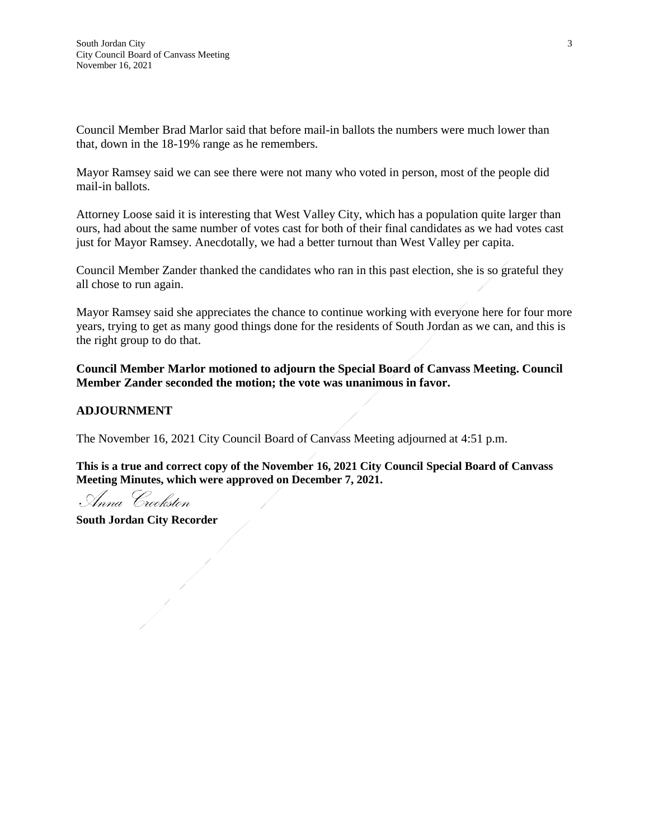Council Member Brad Marlor said that before mail-in ballots the numbers were much lower than that, down in the 18-19% range as he remembers.

Mayor Ramsey said we can see there were not many who voted in person, most of the people did mail-in ballots.

Attorney Loose said it is interesting that West Valley City, which has a population quite larger than ours, had about the same number of votes cast for both of their final candidates as we had votes cast just for Mayor Ramsey. Anecdotally, we had a better turnout than West Valley per capita.

Council Member Zander thanked the candidates who ran in this past election, she is so grateful they all chose to run again.

Mayor Ramsey said she appreciates the chance to continue working with everyone here for four more years, trying to get as many good things done for the residents of South Jordan as we can, and this is the right group to do that.

**Council Member Marlor motioned to adjourn the Special Board of Canvass Meeting. Council Member Zander seconded the motion; the vote was unanimous in favor.**

# **ADJOURNMENT**

The November 16, 2021 City Council Board of Canvass Meeting adjourned at 4:51 p.m.

**This is a true and correct copy of the November 16, 2021 City Council Special Board of Canvass Meeting Minutes, which were approved on December 7, 2021.**

Anna Crookston

**South Jordan City Recorder**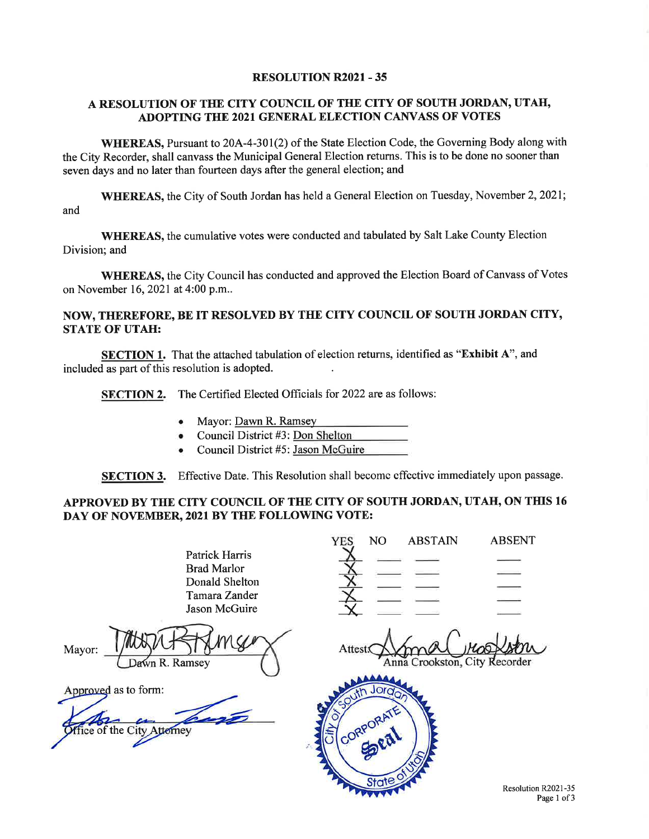#### **RESOLUTION R2021 - 35**

#### A RESOLUTION OF THE CITY COUNCIL OF THE CITY OF SOUTH JORDAN, UTAH, ADOPTING THE 2021 GENERAL ELECTION CANVASS OF VOTES

WHEREAS, Pursuant to 20A-4-301(2) of the State Election Code, the Governing Body along with the City Recorder, shall canvass the Municipal General Election returns. This is to be done no sooner than seven days and no later than fourteen days after the general election; and

WHEREAS, the City of South Jordan has held a General Election on Tuesday, November 2, 2021; and

**WHEREAS**, the cumulative votes were conducted and tabulated by Salt Lake County Election Division; and

WHEREAS, the City Council has conducted and approved the Election Board of Canvass of Votes on November 16, 2021 at 4:00 p.m..

# NOW, THEREFORE, BE IT RESOLVED BY THE CITY COUNCIL OF SOUTH JORDAN CITY, **STATE OF UTAH:**

SECTION 1. That the attached tabulation of election returns, identified as "Exhibit A", and included as part of this resolution is adopted.

**SECTION 2.** The Certified Elected Officials for 2022 are as follows:

- Mayor: Dawn R. Ramsey
- Council District #3: Don Shelton
- Council District #5: Jason McGuire

SECTION 3. Effective Date. This Resolution shall become effective immediately upon passage.

# APPROVED BY THE CITY COUNCIL OF THE CITY OF SOUTH JORDAN, UTAH, ON THIS 16 DAY OF NOVEMBER, 2021 BY THE FOLLOWING VOTE:

|                                                                                                 | YES.<br>NO.<br><b>ABSTAIN</b>            | <b>ABSENT</b> |
|-------------------------------------------------------------------------------------------------|------------------------------------------|---------------|
| <b>Patrick Harris</b><br><b>Brad Marlor</b><br>Donald Shelton<br>Tamara Zander<br>Jason McGuire |                                          |               |
| Mayor:<br>Dawn R. Ramsey                                                                        | Attest:<br>Anna Crookston, City Recorder |               |
| Approved as to form:<br><b>Affice of the City Attorney</b>                                      | outh Jordo<br>JCORPORATE )<br>State      |               |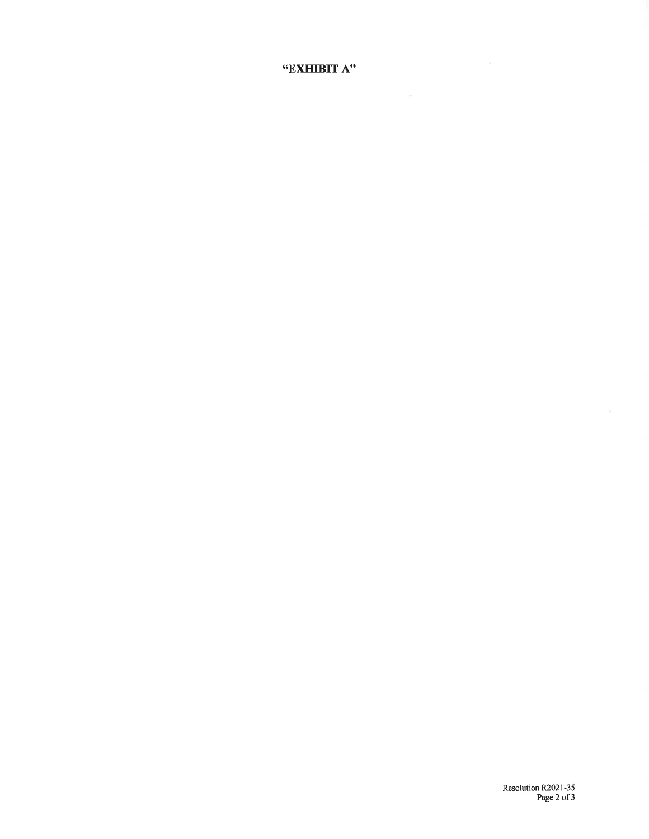"EXHIBIT A"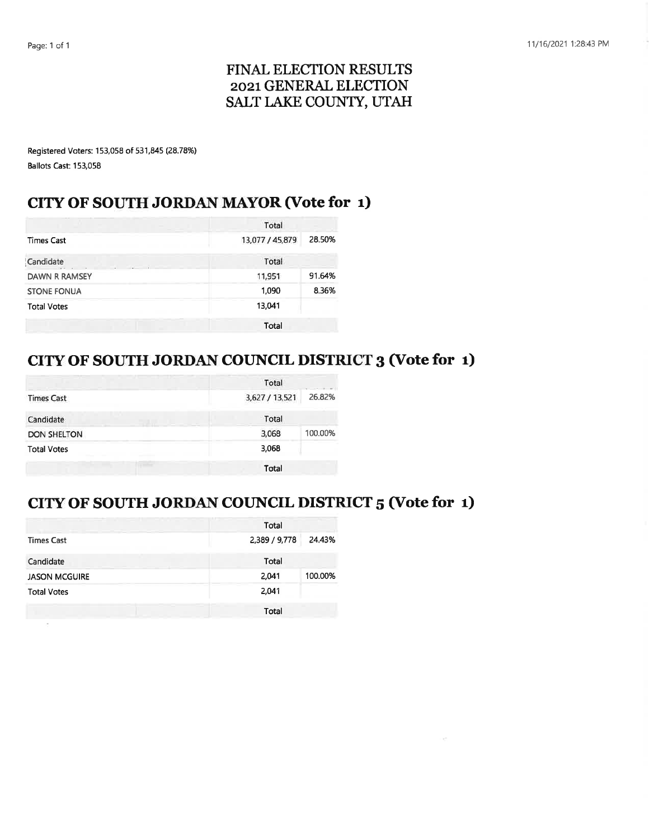ö.

# FINAL ELECTION RESULTS 2021 GENERAL ELECTION SALT LAKE COUNTY, UTAH

Registered Voters: 153,058 of 531,845 (28.78%) Ballots Cast: 153,058

# CITY OF SOUTH JORDAN MAYOR (Vote for 1)

|                      | Total           |        |  |
|----------------------|-----------------|--------|--|
| <b>Times Cast</b>    | 13,077 / 45,879 | 28.50% |  |
| Candidate            | Total           |        |  |
| <b>DAWN R RAMSEY</b> | 11,951          | 91.64% |  |
| <b>STONE FONUA</b>   | 1.090           | 8.36%  |  |
| <b>Total Votes</b>   | 13.041          |        |  |
|                      | Total           |        |  |

# CITY OF SOUTH JORDAN COUNCIL DISTRICT 3 (Vote for 1)

|                    | Total                    |  |  |
|--------------------|--------------------------|--|--|
| <b>Times Cast</b>  | 3,627 / 13,521<br>26.82% |  |  |
| Candidate          | Total                    |  |  |
| <b>DON SHELTON</b> | 3,068<br>100.00%         |  |  |
| <b>Total Votes</b> | 3,068                    |  |  |
|                    | Total                    |  |  |

# CITY OF SOUTH JORDAN COUNCIL DISTRICT 5 (Vote for 1)

|                      | Total                   |
|----------------------|-------------------------|
| <b>Times Cast</b>    | 2,389 / 9,778<br>24.43% |
| Candidate            | Total                   |
| <b>JASON MCGUIRE</b> | 100.00%<br>2,041        |
| <b>Total Votes</b>   | 2,041                   |
|                      | Total                   |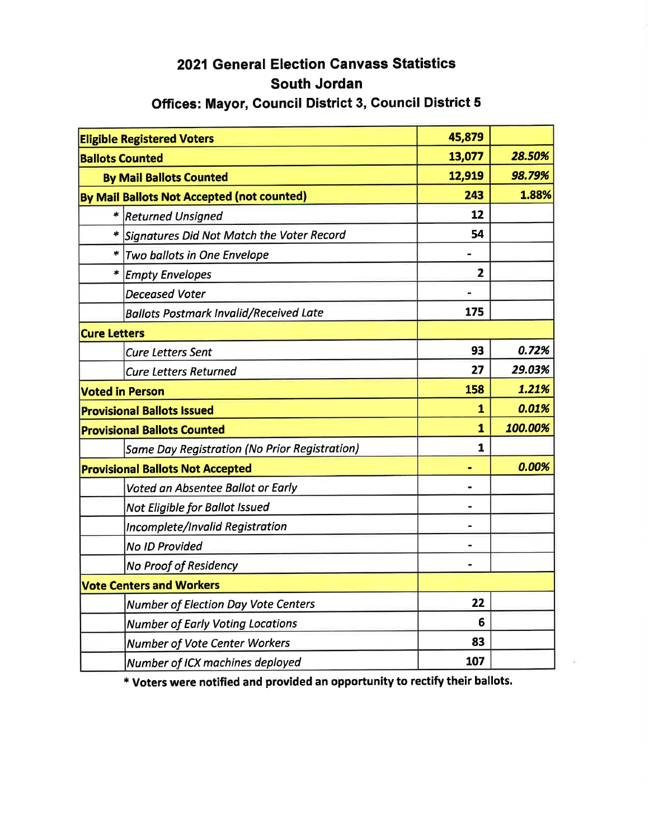# 2021 General Election Canvass Statistics South Jordan

# Offices: Mayor, Council District 3, Council District 5

|                                         | <b>Eligible Registered Voters</b>                    | 45,879         |         |
|-----------------------------------------|------------------------------------------------------|----------------|---------|
| <b>Ballots Counted</b>                  |                                                      | 13,077         | 28.50%  |
| <b>By Mail Ballots Counted</b>          |                                                      | 12,919         | 98.79%  |
|                                         | By Mail Ballots Not Accepted (not counted)           | 243            | 1.88%   |
|                                         | <b>Returned Unsigned</b>                             | 12             |         |
|                                         | Signatures Did Not Match the Voter Record            | 54             |         |
|                                         | * Two ballots in One Envelope                        |                |         |
| $\star$                                 | <b>Empty Envelopes</b>                               | $\overline{2}$ |         |
|                                         | <b>Deceased Voter</b>                                |                |         |
|                                         | <b>Ballots Postmark Invalid/Received Late</b>        | 175            |         |
| <b>Cure Letters</b>                     |                                                      |                |         |
|                                         | <b>Cure Letters Sent</b>                             | 93             | 0.72%   |
|                                         | <b>Cure Letters Returned</b>                         | 27             | 29.03%  |
|                                         | <b>Voted in Person</b>                               | 158            | 1.21%   |
|                                         | <b>Provisional Ballots Issued</b>                    | 1              | 0.01%   |
|                                         | <b>Provisional Ballots Counted</b>                   | $\mathbf{1}$   | 100.00% |
|                                         | <b>Same Day Registration (No Prior Registration)</b> | $\mathbf{1}$   |         |
| <b>Provisional Ballots Not Accepted</b> |                                                      |                | 0.00%   |
|                                         | Voted an Absentee Ballot or Early                    |                |         |
|                                         | Not Eligible for Ballot Issued                       |                |         |
|                                         | Incomplete/Invalid Registration                      |                |         |
|                                         | <b>No ID Provided</b>                                |                |         |
|                                         | <b>No Proof of Residency</b>                         | $\blacksquare$ |         |
|                                         | <b>Vote Centers and Workers</b>                      |                |         |
|                                         | Number of Election Day Vote Centers                  | 22             |         |
|                                         | <b>Number of Early Voting Locations</b>              | 6              |         |
|                                         | <b>Number of Vote Center Workers</b>                 | 83             |         |
|                                         | Number of ICX machines deployed                      | 107            |         |

\* Voters were notified and provided an opportunity to rectify their ballots.